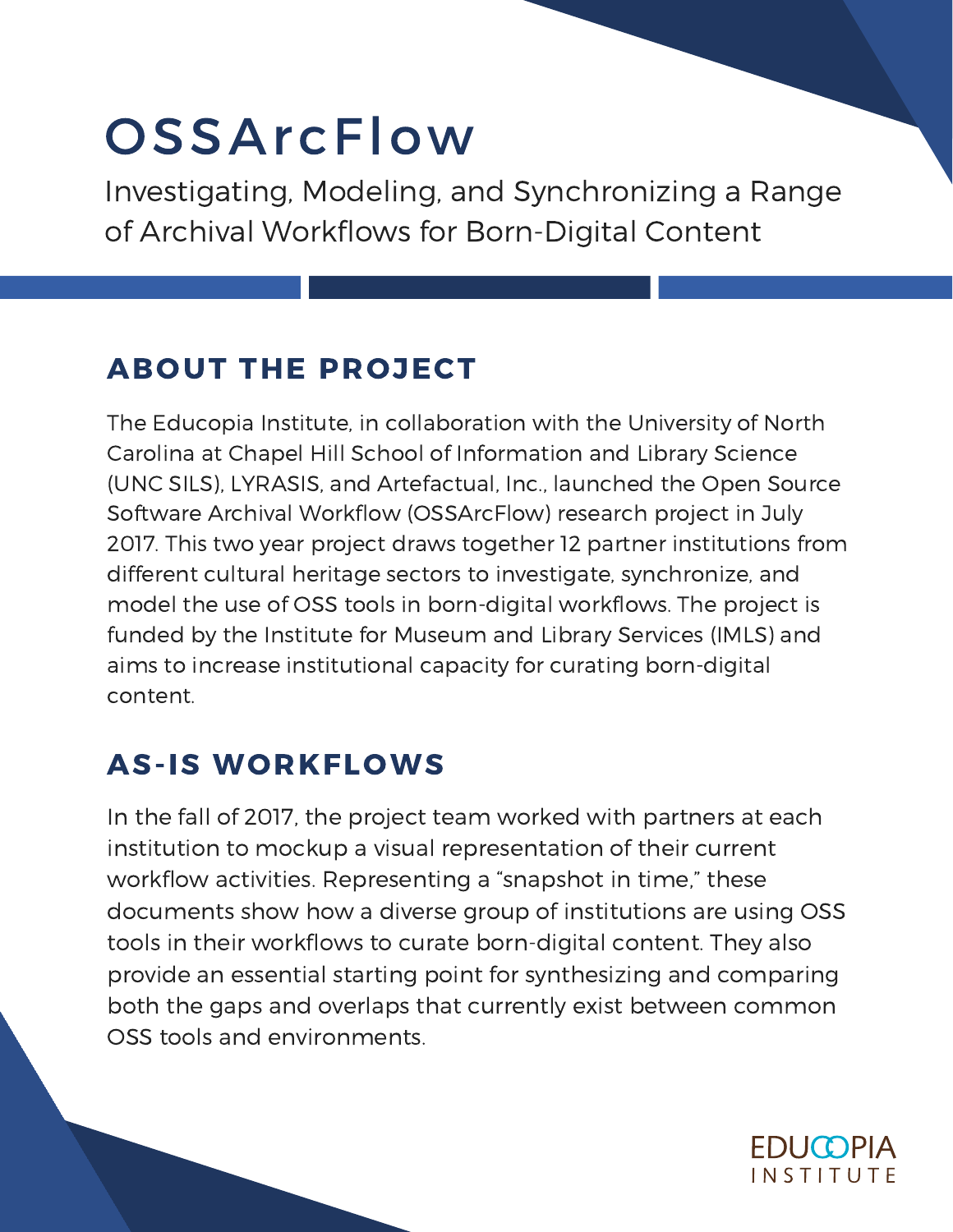## **OSSArcFlow**

Investigating, Modeling, and Synchronizing a Range of Archival Workflows for Born-Digital Content

## ABOUT THE PROJECT

The Educopia Institute, in collaboration with the University of North Carolina at Chapel Hill School of Information and Library Science (UNC SILS), LYRASIS, and Artefactual, Inc., launched the Open Source Software Archival Workflow (OSSArcFlow) research project in July 2017. This two year project draws together 12 partner institutions from different cultural heritage sectors to investigate, synchronize, and model the use of OSS tools in born-digital workflows. The project is funded by the Institute for Museum and Library Services (IMLS) and aims to increase institutional capacity for curating born-digital content.

## AS-IS WORKFLOWS

In the fall of 2017, the project team worked with partners at each institution to mockup a visual representation of their current workflow activities. Representing a "snapshot in time," these documents show how a diverse group of institutions are using OSS tools in their workflows to curate born-digital content. They also provide an essential starting point for synthesizing and comparing both the gaps and overlaps that currently exist between common OSS tools and environments.